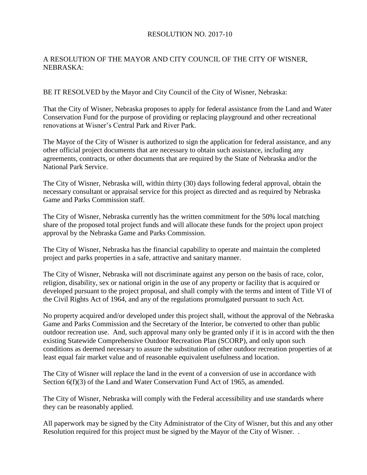## RESOLUTION NO. 2017-10

## A RESOLUTION OF THE MAYOR AND CITY COUNCIL OF THE CITY OF WISNER, NEBRASKA:

BE IT RESOLVED by the Mayor and City Council of the City of Wisner, Nebraska:

That the City of Wisner, Nebraska proposes to apply for federal assistance from the Land and Water Conservation Fund for the purpose of providing or replacing playground and other recreational renovations at Wisner's Central Park and River Park.

The Mayor of the City of Wisner is authorized to sign the application for federal assistance, and any other official project documents that are necessary to obtain such assistance, including any agreements, contracts, or other documents that are required by the State of Nebraska and/or the National Park Service.

The City of Wisner, Nebraska will, within thirty (30) days following federal approval, obtain the necessary consultant or appraisal service for this project as directed and as required by Nebraska Game and Parks Commission staff.

The City of Wisner, Nebraska currently has the written commitment for the 50% local matching share of the proposed total project funds and will allocate these funds for the project upon project approval by the Nebraska Game and Parks Commission.

The City of Wisner, Nebraska has the financial capability to operate and maintain the completed project and parks properties in a safe, attractive and sanitary manner.

The City of Wisner, Nebraska will not discriminate against any person on the basis of race, color, religion, disability, sex or national origin in the use of any property or facility that is acquired or developed pursuant to the project proposal, and shall comply with the terms and intent of Title VI of the Civil Rights Act of 1964, and any of the regulations promulgated pursuant to such Act.

No property acquired and/or developed under this project shall, without the approval of the Nebraska Game and Parks Commission and the Secretary of the Interior, be converted to other than public outdoor recreation use. And, such approval many only be granted only if it is in accord with the then existing Statewide Comprehensive Outdoor Recreation Plan (SCORP), and only upon such conditions as deemed necessary to assure the substitution of other outdoor recreation properties of at least equal fair market value and of reasonable equivalent usefulness and location.

The City of Wisner will replace the land in the event of a conversion of use in accordance with Section 6(f)(3) of the Land and Water Conservation Fund Act of 1965, as amended.

The City of Wisner, Nebraska will comply with the Federal accessibility and use standards where they can be reasonably applied.

All paperwork may be signed by the City Administrator of the City of Wisner, but this and any other Resolution required for this project must be signed by the Mayor of the City of Wisner. .